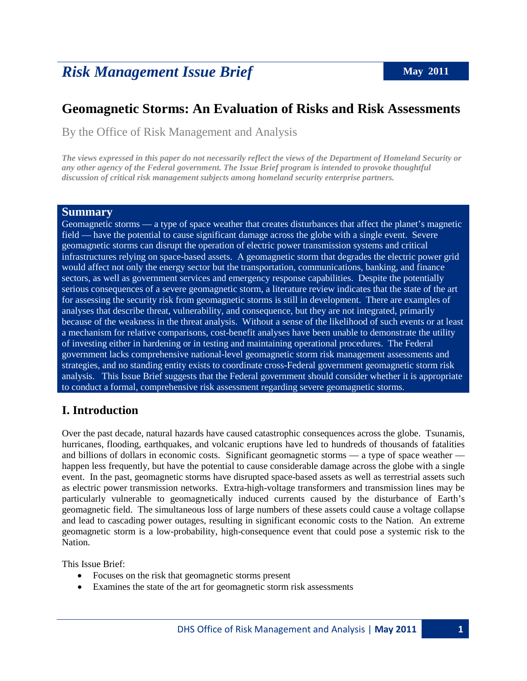# *Risk Management Issue Brief* May 2011

# **Geomagnetic Storms: An Evaluation of Risks and Risk Assessments**

By the Office of Risk Management and Analysis

*The views expressed in this paper do not necessarily reflect the views of the Department of Homeland Security or any other agency of the Federal government. The Issue Brief program is intended to provoke thoughtful discussion of critical risk management subjects among homeland security enterprise partners.*

#### **Summary**

Geomagnetic storms — a type of space weather that creates disturbances that affect the planet's magnetic field — have the potential to cause significant damage across the globe with a single event. Severe geomagnetic storms can disrupt the operation of electric power transmission systems and critical infrastructures relying on space-based assets. A geomagnetic storm that degrades the electric power grid would affect not only the energy sector but the transportation, communications, banking, and finance sectors, as well as government services and emergency response capabilities. Despite the potentially serious consequences of a severe geomagnetic storm, a literature review indicates that the state of the art for assessing the security risk from geomagnetic storms is still in development. There are examples of analyses that describe threat, vulnerability, and consequence, but they are not integrated, primarily because of the weakness in the threat analysis. Without a sense of the likelihood of such events or at least a mechanism for relative comparisons, cost-benefit analyses have been unable to demonstrate the utility of investing either in hardening or in testing and maintaining operational procedures. The Federal government lacks comprehensive national-level geomagnetic storm risk management assessments and strategies, and no standing entity exists to coordinate cross-Federal government geomagnetic storm risk analysis. This Issue Brief suggests that the Federal government should consider whether it is appropriate to conduct a formal, comprehensive risk assessment regarding severe geomagnetic storms.

## **I. Introduction**

Over the past decade, natural hazards have caused catastrophic consequences across the globe. Tsunamis, hurricanes, flooding, earthquakes, and volcanic eruptions have led to hundreds of thousands of fatalities and billions of dollars in economic costs. Significant geomagnetic storms — a type of space weather happen less frequently, but have the potential to cause considerable damage across the globe with a single event. In the past, geomagnetic storms have disrupted space-based assets as well as terrestrial assets such as electric power transmission networks. Extra-high-voltage transformers and transmission lines may be particularly vulnerable to geomagnetically induced currents caused by the disturbance of Earth's geomagnetic field. The simultaneous loss of large numbers of these assets could cause a voltage collapse and lead to cascading power outages, resulting in significant economic costs to the Nation. An extreme geomagnetic storm is a low-probability, high-consequence event that could pose a systemic risk to the Nation.

This Issue Brief:

- Focuses on the risk that geomagnetic storms present
- Examines the state of the art for geomagnetic storm risk assessments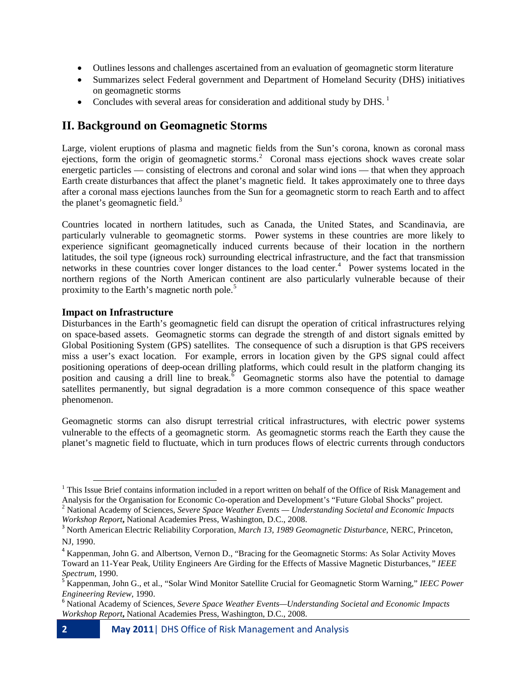- Outlines lessons and challenges ascertained from an evaluation of geomagnetic storm literature
- Summarizes select Federal government and Department of Homeland Security (DHS) initiatives on geomagnetic storms
- Concludes with several areas for consideration and additional study by DHS.<sup>[1](#page-1-0)</sup>

## **II. Background on Geomagnetic Storms**

Large, violent eruptions of plasma and magnetic fields from the Sun's corona, known as coronal mass ejections, form the origin of geomagnetic storms.<sup>[2](#page-1-1)</sup> Coronal mass ejections shock waves create solar energetic particles — consisting of electrons and coronal and solar wind ions — that when they approach Earth create disturbances that affect the planet's magnetic field. It takes approximately one to three days after a coronal mass ejections launches from the Sun for a geomagnetic storm to reach Earth and to affect the planet's geomagnetic field.<sup>[3](#page-1-2)</sup>

Countries located in northern latitudes, such as Canada, the United States, and Scandinavia, are particularly vulnerable to geomagnetic storms. Power systems in these countries are more likely to experience significant geomagnetically induced currents because of their location in the northern latitudes, the soil type (igneous rock) surrounding electrical infrastructure, and the fact that transmission networks in these countries cover longer distances to the load center. [4](#page-1-3) Power systems located in the northern regions of the North American continent are also particularly vulnerable because of their proximity to the Earth's magnetic north pole.<sup>[5](#page-1-4)</sup>

#### **Impact on Infrastructure**

ı

Disturbances in the Earth's geomagnetic field can disrupt the operation of critical infrastructures relying on space-based assets. Geomagnetic storms can degrade the strength of and distort signals emitted by Global Positioning System (GPS) satellites. The consequence of such a disruption is that GPS receivers miss a user's exact location. For example, errors in location given by the GPS signal could affect positioning operations of deep-ocean drilling platforms, which could result in the platform changing its position and causing a drill line to break. $\bar{6}$  $\bar{6}$  $\bar{6}$  Geomagnetic storms also have the potential to damage satellites permanently, but signal degradation is a more common consequence of this space weather phenomenon.

Geomagnetic storms can also disrupt terrestrial critical infrastructures, with electric power systems vulnerable to the effects of a geomagnetic storm. As geomagnetic storms reach the Earth they cause the planet's magnetic field to fluctuate, which in turn produces flows of electric currents through conductors

<span id="page-1-0"></span><sup>&</sup>lt;sup>1</sup> This Issue Brief contains information included in a report written on behalf of the Office of Risk Management and Analysis for the Organisation for Economic Co-operation and Development's "Future Global Shocks" project

<span id="page-1-1"></span> $^{2}$  National Academy of Sciences, Severe Space Weather Events — Understanding Societal and Economic Impacts Workshop Report, National Academies Press, Washington, D.C., 2008.

<span id="page-1-2"></span><sup>&</sup>lt;sup>3</sup> North American Electric Reliability Corporation, *March 13, 1989 Geomagnetic Disturbance*, NERC, Princeton, NJ, 1990.

<span id="page-1-3"></span><sup>4</sup> Kappenman, John G. and Albertson, Vernon D., "Bracing for the Geomagnetic Storms: As Solar Activity Moves Toward an 11-Year Peak, Utility Engineers Are Girding for the Effects of Massive Magnetic Disturbances*," IEEE* 

<span id="page-1-4"></span><sup>&</sup>lt;sup>5</sup> Kappenman, John G., et al., "Solar Wind Monitor Satellite Crucial for Geomagnetic Storm Warning," *IEEC Power Engineering Review, 1990.*<br><sup>6</sup> National Academy of Sciences, *Severe Space Weather Events—Understanding Societal and Economic Impacts* 

<span id="page-1-5"></span>*Workshop Report***,** National Academies Press, Washington, D.C., 2008.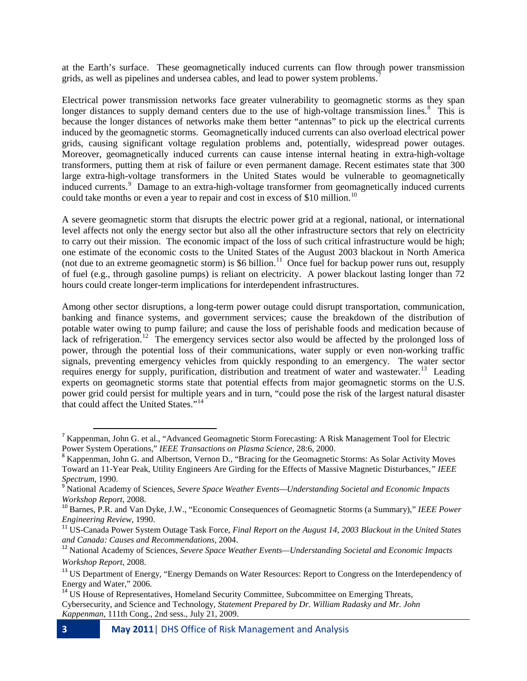at the Earth's surface. These geomagnetically induced currents can flow through power transmission grids, as well as pipelines and undersea cables, and lead to power system problems.<sup>[7](#page-2-0)</sup>

Electrical power transmission networks face greater vulnerability to geomagnetic storms as they span longer distances to supply demand centers due to the use of high-voltage transmission lines.<sup>[8](#page-2-1)</sup> This is because the longer distances of networks make them better "antennas" to pick up the electrical currents induced by the geomagnetic storms. Geomagnetically induced currents can also overload electrical power grids, causing significant voltage regulation problems and, potentially, widespread power outages. Moreover, geomagnetically induced currents can cause intense internal heating in extra-high-voltage transformers, putting them at risk of failure or even permanent damage. Recent estimates state that 300 large extra-high-voltage transformers in the United States would be vulnerable to geomagnetically induced currents. [9](#page-2-2) Damage to an extra-high-voltage transformer from geomagnetically induced currents could take months or even a year to repair and cost in excess of \$[10](#page-2-3) million.<sup>10</sup>

A severe geomagnetic storm that disrupts the electric power grid at a regional, national, or international level affects not only the energy sector but also all the other infrastructure sectors that rely on electricity to carry out their mission. The economic impact of the loss of such critical infrastructure would be high; one estimate of the economic costs to the United States of the August 2003 blackout in North America (not due to an extreme geomagnetic storm) is \$6 billion. $11$  Once fuel for backup power runs out, resupply of fuel (e.g., through gasoline pumps) is reliant on electricity. A power blackout lasting longer than 72 hours could create longer-term implications for interdependent infrastructures.

Among other sector disruptions, a long-term power outage could disrupt transportation, communication, banking and finance systems, and government services; cause the breakdown of the distribution of potable water owing to pump failure; and cause the loss of perishable foods and medication because of lack of refrigeration.<sup>[12](#page-2-5)</sup> The emergency services sector also would be affected by the prolonged loss of power, through the potential loss of their communications, water supply or even non-working traffic signals, preventing emergency vehicles from quickly responding to an emergency. The water sector requires energy for supply, purification, distribution and treatment of water and wastewater.<sup>[13](#page-2-6)</sup> Leading experts on geomagnetic storms state that potential effects from major geomagnetic storms on the U.S. power grid could persist for multiple years and in turn, "could pose the risk of the largest natural disaster that could affect the United States."[14](#page-2-7)

<span id="page-2-0"></span><sup>&</sup>lt;sup>7</sup> Kappenman, John G. et al., "Advanced Geomagnetic Storm Forecasting: A Risk Management Tool for Electric Power System Operations," IEEE Transactions on Plasma Science, 28:6, 2000.

<span id="page-2-1"></span><sup>&</sup>lt;sup>8</sup> Kappenman, John G. and Albertson, Vernon D., "Bracing for the Geomagnetic Storms: As Solar Activity Moves Toward an 11-Year Peak, Utility Engineers Are Girding for the Effects of Massive Magnetic Disturbances*," IEEE* 

<span id="page-2-2"></span>*Spectrum*, 1990. <sup>9</sup> National Academy of Sciences, *Severe Space Weather Events—Understanding Societal and Economic Impacts Workshop Report*, 2008.<br><sup>10</sup> Barnes, P.R. and Van Dyke, J.W., "Economic Consequences of Geomagnetic Storms (a Summary)," *IEEE Power* 

<span id="page-2-3"></span>*Engineering Review, 1990.*<br><sup>11</sup> US-Canada Power System Outage Task Force, *Final Report on the August 14, 2003 Blackout in the United States* 

<span id="page-2-4"></span>*and Canada: Causes and Recommendations,* 2004. <sup>12</sup> National Academy of Sciences, *Severe Space Weather Events—Understanding Societal and Economic Impacts* 

<span id="page-2-5"></span>*Workshop Report*, 2008.

<span id="page-2-6"></span><sup>&</sup>lt;sup>13</sup> US Department of Energy, "Energy Demands on Water Resources: Report to Congress on the Interdependency of Energy and Water," 2006.

<span id="page-2-7"></span><sup>&</sup>lt;sup>14</sup> US House of Representatives, Homeland Security Committee, Subcommittee on Emerging Threats, Cybersecurity, and Science and Technology, *Statement Prepared by Dr. William Radasky and Mr. John Kappenman*, 111th Cong., 2nd sess., July 21, 2009.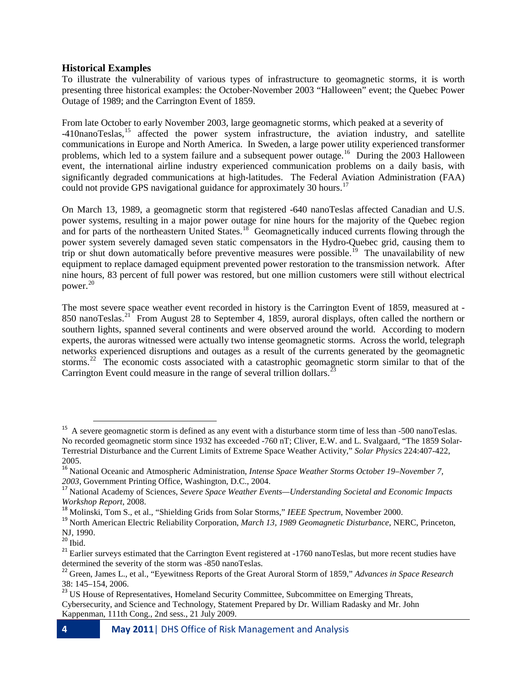#### **Historical Examples**

To illustrate the vulnerability of various types of infrastructure to geomagnetic storms, it is worth presenting three historical examples: the October-November 2003 "Halloween" event; the Quebec Power Outage of 1989; and the Carrington Event of 1859.

From late October to early November 2003, large geomagnetic storms, which peaked at a severity of -410nanoTeslas, [15](#page-3-0) affected the power system infrastructure, the aviation industry, and satellite communications in Europe and North America. In Sweden, a large power utility experienced transformer problems, which led to a system failure and a subsequent power outage.<sup>16</sup> During the 2003 Halloween event, the international airline industry experienced communication problems on a daily basis, with significantly degraded communications at high-latitudes. The Federal Aviation Administration (FAA) could not provide GPS navigational guidance for approximately 30 hours.<sup>[17](#page-3-2)</sup>

On March 13, 1989, a geomagnetic storm that registered -640 nanoTeslas affected Canadian and U.S. power systems, resulting in a major power outage for nine hours for the majority of the Quebec region and for parts of the northeastern United States.<sup>[18](#page-3-3)</sup> Geomagnetically induced currents flowing through the power system severely damaged seven static compensators in the Hydro-Quebec grid, causing them to trip or shut down automatically before preventive measures were possible.<sup>[19](#page-3-4)</sup> The unavailability of new equipment to replace damaged equipment prevented power restoration to the transmission network. After nine hours, 83 percent of full power was restored, but one million customers were still without electrical power. [20](#page-3-5)

The most severe space weather event recorded in history is the Carrington Event of 1859, measured at - 850 nanoTeslas.<sup>[21](#page-3-6)</sup> From August 28 to September 4, 1859, auroral displays, often called the northern or southern lights, spanned several continents and were observed around the world. According to modern experts, the auroras witnessed were actually two intense geomagnetic storms. Across the world, telegraph networks experienced disruptions and outages as a result of the currents generated by the geomagnetic storms.<sup>22</sup> The economic costs associated with a catastrophic geomagnetic storm similar to that of the Carrington Event could measure in the range of several trillion dollars.<sup>[23](#page-3-8)</sup>

<span id="page-3-0"></span> $15$  A severe geomagnetic storm is defined as any event with a disturbance storm time of less than  $-500$  nanoTeslas. No recorded geomagnetic storm since 1932 has exceeded -760 nT; Cliver, E.W. and L. Svalgaard, "The 1859 Solar-Terrestrial Disturbance and the Current Limits of Extreme Space Weather Activity," *Solar Physics* 224:407-422, 2005.

<sup>16</sup> National Oceanic and Atmospheric Administration, *Intense Space Weather Storms October 19–November 7,* 

<span id="page-3-2"></span><span id="page-3-1"></span>*<sup>2003</sup>*, Government Printing Office, Washington, D.C., 2004. <sup>17</sup> National Academy of Sciences, *Severe Space Weather Events—Understanding Societal and Economic Impacts* 

<span id="page-3-4"></span><span id="page-3-3"></span><sup>&</sup>lt;sup>18</sup> Molinski, Tom S., et al., "Shielding Grids from Solar Storms," IEEE Spectrum, November 2000.<br><sup>19</sup> North American Electric Reliability Corporation, *March 13, 1989 Geomagnetic Disturbance*, NERC, Princeton, NJ, 1990.<br><sup>20</sup> Ibid.

<span id="page-3-6"></span><span id="page-3-5"></span><sup>&</sup>lt;sup>21</sup> Earlier surveys estimated that the Carrington Event registered at  $-1760$  nanoTeslas, but more recent studies have determined the severity of the storm was  $-850$  nanoTeslas.

<span id="page-3-7"></span><sup>&</sup>lt;sup>22</sup> Green, James L., et al., "Eyewitness Reports of the Great Auroral Storm of 1859," *Advances in Space Research* 38: 145–154, 2006. <sup>23</sup> US House of Representatives, Homeland Security Committee, Subcommittee on Emerging Threats,

<span id="page-3-8"></span>Cybersecurity, and Science and Technology, Statement Prepared by Dr. William Radasky and Mr. John Kappenman, 111th Cong., 2nd sess., 21 July 2009.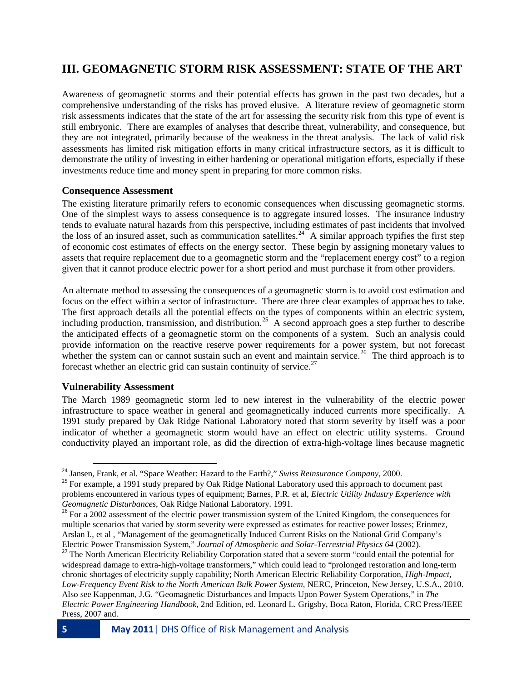# **III. GEOMAGNETIC STORM RISK ASSESSMENT: STATE OF THE ART**

Awareness of geomagnetic storms and their potential effects has grown in the past two decades, but a comprehensive understanding of the risks has proved elusive. A literature review of geomagnetic storm risk assessments indicates that the state of the art for assessing the security risk from this type of event is still embryonic. There are examples of analyses that describe threat, vulnerability, and consequence, but they are not integrated, primarily because of the weakness in the threat analysis. The lack of valid risk assessments has limited risk mitigation efforts in many critical infrastructure sectors, as it is difficult to demonstrate the utility of investing in either hardening or operational mitigation efforts, especially if these investments reduce time and money spent in preparing for more common risks.

#### **Consequence Assessment**

The existing literature primarily refers to economic consequences when discussing geomagnetic storms. One of the simplest ways to assess consequence is to aggregate insured losses. The insurance industry tends to evaluate natural hazards from this perspective, including estimates of past incidents that involved the loss of an insured asset, such as communication satellites.<sup>[24](#page-4-0)</sup> A similar approach typifies the first step of economic cost estimates of effects on the energy sector. These begin by assigning monetary values to assets that require replacement due to a geomagnetic storm and the "replacement energy cost" to a region given that it cannot produce electric power for a short period and must purchase it from other providers.

An alternate method to assessing the consequences of a geomagnetic storm is to avoid cost estimation and focus on the effect within a sector of infrastructure. There are three clear examples of approaches to take. The first approach details all the potential effects on the types of components within an electric system, including production, transmission, and distribution.<sup>25</sup> A second approach goes a step further to describe the anticipated effects of a geomagnetic storm on the components of a system. Such an analysis could provide information on the reactive reserve power requirements for a power system, but not forecast whether the system can or cannot sustain such an event and maintain service.<sup>[26](#page-4-2)</sup> The third approach is to forecast whether an electric grid can sustain continuity of service.<sup>[27](#page-4-3)</sup>

#### **Vulnerability Assessment**

The March 1989 geomagnetic storm led to new interest in the vulnerability of the electric power infrastructure to space weather in general and geomagnetically induced currents more specifically. A 1991 study prepared by Oak Ridge National Laboratory noted that storm severity by itself was a poor indicator of whether a geomagnetic storm would have an effect on electric utility systems. Ground conductivity played an important role, as did the direction of extra-high-voltage lines because magnetic

<span id="page-4-1"></span><span id="page-4-0"></span><sup>&</sup>lt;sup>24</sup> Jansen, Frank, et al. "Space Weather: Hazard to the Earth?," *Swiss Reinsurance Company*, 2000.<br><sup>25</sup> For example, a 1991 study prepared by Oak Ridge National Laboratory used this approach to document past problems encountered in various types of equipment; Barnes, P.R. et al, *Electric Utility Industry Experience with Geomagnetic Disturbances*, Oak Ridge National Laboratory. 1991.<br><sup>26</sup> For a 2002 assessment of the electric power transmission system of the United Kingdom, the consequences for

<span id="page-4-2"></span>multiple scenarios that varied by storm severity were expressed as estimates for reactive power losses; Erinmez, Arslan I., et al , "Management of the geomagnetically Induced Current Risks on the National Grid Company's Electric Power Transmission System," Journal of Atmospheric and Solar-Terrestrial Physics 64 (2002).

<span id="page-4-3"></span><sup>&</sup>lt;sup>27</sup> The North American Electricity Reliability Corporation stated that a severe storm "could entail the potential for widespread damage to extra-high-voltage transformers," which could lead to "prolonged restoration and long-term chronic shortages of electricity supply capability; North American Electric Reliability Corporation, *High-Impact, Low-Frequency Event Risk to the North American Bulk Power System*, NERC, Princeton, New Jersey, U.S.A., 2010. Also see Kappenman, J.G. "Geomagnetic Disturbances and Impacts Upon Power System Operations," in *The Electric Power Engineering Handbook*, 2nd Edition, ed. Leonard L. Grigsby, Boca Raton, Florida, CRC Press/IEEE Press, 2007 and.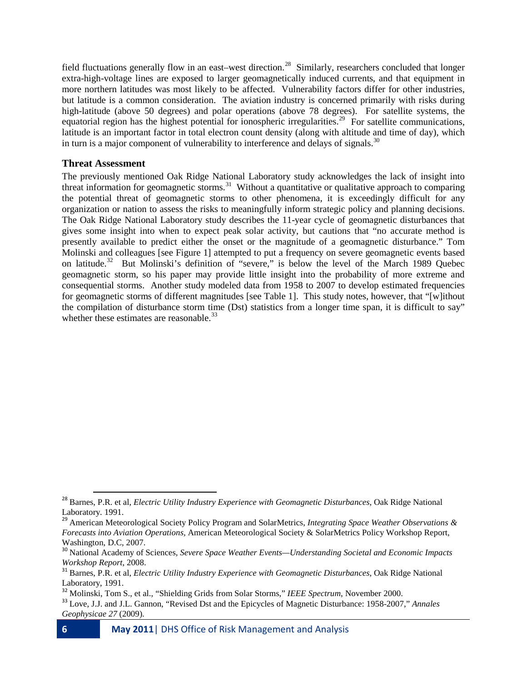field fluctuations generally flow in an east–west direction.<sup>[28](#page-5-0)</sup> Similarly, researchers concluded that longer extra-high-voltage lines are exposed to larger geomagnetically induced currents, and that equipment in more northern latitudes was most likely to be affected. Vulnerability factors differ for other industries, but latitude is a common consideration. The aviation industry is concerned primarily with risks during high-latitude (above 50 degrees) and polar operations (above 78 degrees). For satellite systems, the equatorial region has the highest potential for ionospheric irregularities.<sup>[29](#page-5-1)</sup> For satellite communications, latitude is an important factor in total electron count density (along with altitude and time of day), which in turn is a major component of vulnerability to interference and delays of signals.<sup>[30](#page-5-2)</sup>

#### **Threat Assessment**

The previously mentioned Oak Ridge National Laboratory study acknowledges the lack of insight into threat information for geomagnetic storms.<sup>[31](#page-5-3)</sup> Without a quantitative or qualitative approach to comparing the potential threat of geomagnetic storms to other phenomena, it is exceedingly difficult for any organization or nation to assess the risks to meaningfully inform strategic policy and planning decisions. The Oak Ridge National Laboratory study describes the 11-year cycle of geomagnetic disturbances that gives some insight into when to expect peak solar activity, but cautions that "no accurate method is presently available to predict either the onset or the magnitude of a geomagnetic disturbance." Tom Molinski and colleagues [see Figure 1] attempted to put a frequency on severe geomagnetic events based on latitude.<sup>[32](#page-5-4)</sup> But Molinski's definition of "severe," is below the level of the March 1989 Quebec geomagnetic storm, so his paper may provide little insight into the probability of more extreme and consequential storms. Another study modeled data from 1958 to 2007 to develop estimated frequencies for geomagnetic storms of different magnitudes [see Table 1]. This study notes, however, that "[w]ithout the compilation of disturbance storm time (Dst) statistics from a longer time span, it is difficult to say" whether these estimates are reasonable.<sup>[33](#page-5-5)</sup>

<span id="page-5-0"></span> <sup>28</sup> Barnes, P.R. et al, *Electric Utility Industry Experience with Geomagnetic Disturbances*, Oak Ridge National Laboratory. 1991.

<span id="page-5-1"></span><sup>29</sup> American Meteorological Society Policy Program and SolarMetrics, *Integrating Space Weather Observations & Forecasts into Aviation Operations,* American Meteorological Society & SolarMetrics Policy Workshop Report, Washington, D.C, 2007.

<span id="page-5-2"></span><sup>30</sup> National Academy of Sciences, *Severe Space Weather Events—Understanding Societal and Economic Impacts* 

<span id="page-5-3"></span><sup>&</sup>lt;sup>31</sup> Barnes, P.R. et al, *Electric Utility Industry Experience with Geomagnetic Disturbances*, Oak Ridge National Laboratory, 1991.

<span id="page-5-4"></span><sup>&</sup>lt;sup>32</sup> Molinski, Tom S., et al., "Shielding Grids from Solar Storms," IEEE Spectrum, November 2000.<br><sup>33</sup> Love, J.J. and J.L. Gannon, "Revised Dst and the Epicycles of Magnetic Disturbance: 1958-2007," Annales

<span id="page-5-5"></span>*Geophysicae 27* (2009).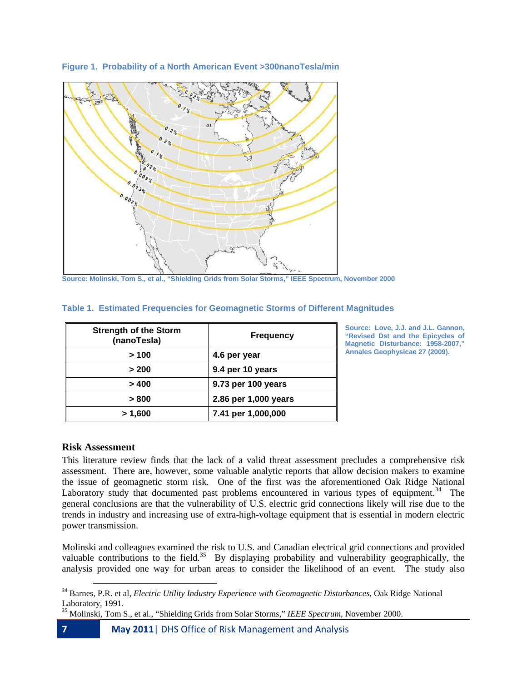**Figure 1. Probability of a North American Event >300nanoTesla/min**



**Source: Molinski, Tom S., et al., "Shielding Grids from Solar Storms," IEEE Spectrum, November 2000**

|  |  | Table 1.  Estimated Frequencies for Geomagnetic Storms of Different Magnitudes |  |  |
|--|--|--------------------------------------------------------------------------------|--|--|
|  |  |                                                                                |  |  |

| <b>Strength of the Storm</b><br>(nanoTesla) | <b>Frequency</b>     |
|---------------------------------------------|----------------------|
| >100                                        | 4.6 per year         |
| > 200                                       | 9.4 per 10 years     |
| >400                                        | 9.73 per 100 years   |
| > 800                                       | 2.86 per 1,000 years |
| > 1,600                                     | 7.41 per 1,000,000   |

**Source: Love, J.J. and J.L. Gannon, "Revised Dst and the Epicycles of Magnetic Disturbance: 1958-2007," Annales Geophysicae 27 (2009).**

#### **Risk Assessment**

This literature review finds that the lack of a valid threat assessment precludes a comprehensive risk assessment. There are, however, some valuable analytic reports that allow decision makers to examine the issue of geomagnetic storm risk. One of the first was the aforementioned Oak Ridge National Laboratory study that documented past problems encountered in various types of equipment.<sup>34</sup> The general conclusions are that the vulnerability of U.S. electric grid connections likely will rise due to the trends in industry and increasing use of extra-high-voltage equipment that is essential in modern electric power transmission.

Molinski and colleagues examined the risk to U.S. and Canadian electrical grid connections and provided valuable contributions to the field.<sup>[35](#page-6-1)</sup> By displaying probability and vulnerability geographically, the analysis provided one way for urban areas to consider the likelihood of an event. The study also

<span id="page-6-0"></span> <sup>34</sup> Barnes, P.R. et al, *Electric Utility Industry Experience with Geomagnetic Disturbances*, Oak Ridge National Laboratory, 1991.

<span id="page-6-1"></span><sup>35</sup> Molinski, Tom S., et al., "Shielding Grids from Solar Storms," *IEEE Spectrum*, November 2000.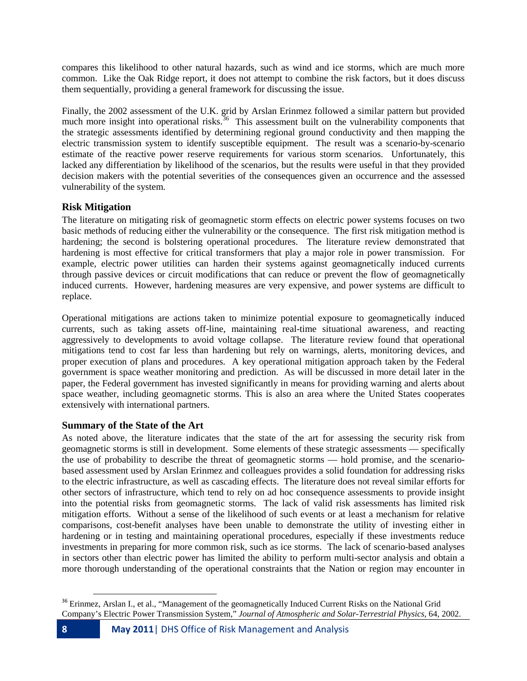compares this likelihood to other natural hazards, such as wind and ice storms, which are much more common. Like the Oak Ridge report, it does not attempt to combine the risk factors, but it does discuss them sequentially, providing a general framework for discussing the issue.

Finally, the 2002 assessment of the U.K. grid by Arslan Erinmez followed a similar pattern but provided much more insight into operational risks.<sup>[36](#page-7-0)</sup> This assessment built on the vulnerability components that the strategic assessments identified by determining regional ground conductivity and then mapping the electric transmission system to identify susceptible equipment. The result was a scenario-by-scenario estimate of the reactive power reserve requirements for various storm scenarios. Unfortunately, this lacked any differentiation by likelihood of the scenarios, but the results were useful in that they provided decision makers with the potential severities of the consequences given an occurrence and the assessed vulnerability of the system.

#### **Risk Mitigation**

The literature on mitigating risk of geomagnetic storm effects on electric power systems focuses on two basic methods of reducing either the vulnerability or the consequence. The first risk mitigation method is hardening; the second is bolstering operational procedures. The literature review demonstrated that hardening is most effective for critical transformers that play a major role in power transmission. For example, electric power utilities can harden their systems against geomagnetically induced currents through passive devices or circuit modifications that can reduce or prevent the flow of geomagnetically induced currents. However, hardening measures are very expensive, and power systems are difficult to replace.

Operational mitigations are actions taken to minimize potential exposure to geomagnetically induced currents, such as taking assets off-line, maintaining real-time situational awareness, and reacting aggressively to developments to avoid voltage collapse. The literature review found that operational mitigations tend to cost far less than hardening but rely on warnings, alerts, monitoring devices, and proper execution of plans and procedures. A key operational mitigation approach taken by the Federal government is space weather monitoring and prediction. As will be discussed in more detail later in the paper, the Federal government has invested significantly in means for providing warning and alerts about space weather, including geomagnetic storms. This is also an area where the United States cooperates extensively with international partners.

#### **Summary of the State of the Art**

As noted above, the literature indicates that the state of the art for assessing the security risk from geomagnetic storms is still in development. Some elements of these strategic assessments — specifically the use of probability to describe the threat of geomagnetic storms — hold promise, and the scenariobased assessment used by Arslan Erinmez and colleagues provides a solid foundation for addressing risks to the electric infrastructure, as well as cascading effects. The literature does not reveal similar efforts for other sectors of infrastructure, which tend to rely on ad hoc consequence assessments to provide insight into the potential risks from geomagnetic storms. The lack of valid risk assessments has limited risk mitigation efforts. Without a sense of the likelihood of such events or at least a mechanism for relative comparisons, cost-benefit analyses have been unable to demonstrate the utility of investing either in hardening or in testing and maintaining operational procedures, especially if these investments reduce investments in preparing for more common risk, such as ice storms. The lack of scenario-based analyses in sectors other than electric power has limited the ability to perform multi-sector analysis and obtain a more thorough understanding of the operational constraints that the Nation or region may encounter in

<span id="page-7-0"></span><sup>&</sup>lt;sup>36</sup> Erinmez, Arslan I., et al., "Management of the geomagnetically Induced Current Risks on the National Grid Company's Electric Power Transmission System," *Journal of Atmospheric and Solar-Terrestrial Physics,* 64, 2002.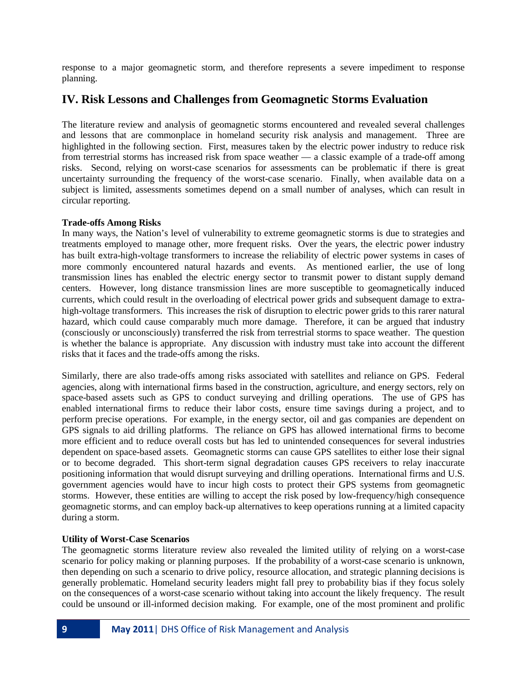response to a major geomagnetic storm, and therefore represents a severe impediment to response planning.

# **IV. Risk Lessons and Challenges from Geomagnetic Storms Evaluation**

The literature review and analysis of geomagnetic storms encountered and revealed several challenges and lessons that are commonplace in homeland security risk analysis and management. Three are highlighted in the following section. First, measures taken by the electric power industry to reduce risk from terrestrial storms has increased risk from space weather — a classic example of a trade-off among risks. Second, relying on worst-case scenarios for assessments can be problematic if there is great uncertainty surrounding the frequency of the worst-case scenario. Finally, when available data on a subject is limited, assessments sometimes depend on a small number of analyses, which can result in circular reporting.

#### **Trade-offs Among Risks**

In many ways, the Nation's level of vulnerability to extreme geomagnetic storms is due to strategies and treatments employed to manage other, more frequent risks. Over the years, the electric power industry has built extra-high-voltage transformers to increase the reliability of electric power systems in cases of more commonly encountered natural hazards and events. As mentioned earlier, the use of long transmission lines has enabled the electric energy sector to transmit power to distant supply demand centers. However, long distance transmission lines are more susceptible to geomagnetically induced currents, which could result in the overloading of electrical power grids and subsequent damage to extrahigh-voltage transformers. This increases the risk of disruption to electric power grids to this rarer natural hazard, which could cause comparably much more damage. Therefore, it can be argued that industry (consciously or unconsciously) transferred the risk from terrestrial storms to space weather. The question is whether the balance is appropriate. Any discussion with industry must take into account the different risks that it faces and the trade-offs among the risks.

Similarly, there are also trade-offs among risks associated with satellites and reliance on GPS. Federal agencies, along with international firms based in the construction, agriculture, and energy sectors, rely on space-based assets such as GPS to conduct surveying and drilling operations. The use of GPS has enabled international firms to reduce their labor costs, ensure time savings during a project, and to perform precise operations. For example, in the energy sector, oil and gas companies are dependent on GPS signals to aid drilling platforms. The reliance on GPS has allowed international firms to become more efficient and to reduce overall costs but has led to unintended consequences for several industries dependent on space-based assets. Geomagnetic storms can cause GPS satellites to either lose their signal or to become degraded. This short-term signal degradation causes GPS receivers to relay inaccurate positioning information that would disrupt surveying and drilling operations. International firms and U.S. government agencies would have to incur high costs to protect their GPS systems from geomagnetic storms. However, these entities are willing to accept the risk posed by low-frequency/high consequence geomagnetic storms, and can employ back-up alternatives to keep operations running at a limited capacity during a storm.

#### **Utility of Worst-Case Scenarios**

The geomagnetic storms literature review also revealed the limited utility of relying on a worst-case scenario for policy making or planning purposes. If the probability of a worst-case scenario is unknown, then depending on such a scenario to drive policy, resource allocation, and strategic planning decisions is generally problematic. Homeland security leaders might fall prey to probability bias if they focus solely on the consequences of a worst-case scenario without taking into account the likely frequency. The result could be unsound or ill-informed decision making. For example, one of the most prominent and prolific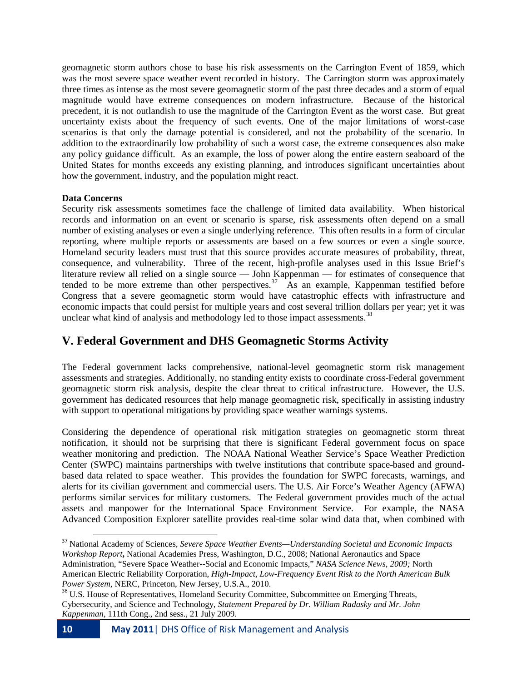geomagnetic storm authors chose to base his risk assessments on the Carrington Event of 1859, which was the most severe space weather event recorded in history. The Carrington storm was approximately three times as intense as the most severe geomagnetic storm of the past three decades and a storm of equal magnitude would have extreme consequences on modern infrastructure. Because of the historical precedent, it is not outlandish to use the magnitude of the Carrington Event as the worst case. But great uncertainty exists about the frequency of such events. One of the major limitations of worst-case scenarios is that only the damage potential is considered, and not the probability of the scenario. In addition to the extraordinarily low probability of such a worst case, the extreme consequences also make any policy guidance difficult. As an example, the loss of power along the entire eastern seaboard of the United States for months exceeds any existing planning, and introduces significant uncertainties about how the government, industry, and the population might react.

#### **Data Concerns**

Security risk assessments sometimes face the challenge of limited data availability. When historical records and information on an event or scenario is sparse, risk assessments often depend on a small number of existing analyses or even a single underlying reference. This often results in a form of circular reporting, where multiple reports or assessments are based on a few sources or even a single source. Homeland security leaders must trust that this source provides accurate measures of probability, threat, consequence, and vulnerability. Three of the recent, high-profile analyses used in this Issue Brief's literature review all relied on a single source — John Kappenman — for estimates of consequence that tended to be more extreme than other perspectives.<sup>37</sup> As an example, Kappenman testified before Congress that a severe geomagnetic storm would have catastrophic effects with infrastructure and economic impacts that could persist for multiple years and cost several trillion dollars per year; yet it was unclear what kind of analysis and methodology led to those impact assessments.<sup>38</sup>

# **V. Federal Government and DHS Geomagnetic Storms Activity**

The Federal government lacks comprehensive, national-level geomagnetic storm risk management assessments and strategies. Additionally, no standing entity exists to coordinate cross-Federal government geomagnetic storm risk analysis, despite the clear threat to critical infrastructure. However, the U.S. government has dedicated resources that help manage geomagnetic risk, specifically in assisting industry with support to operational mitigations by providing space weather warnings systems.

Considering the dependence of operational risk mitigation strategies on geomagnetic storm threat notification, it should not be surprising that there is significant Federal government focus on space weather monitoring and prediction. The NOAA National Weather Service's Space Weather Prediction Center (SWPC) maintains partnerships with twelve institutions that contribute space-based and groundbased data related to space weather. This provides the foundation for SWPC forecasts, warnings, and alerts for its civilian government and commercial users. The U.S. Air Force's Weather Agency (AFWA) performs similar services for military customers. The Federal government provides much of the actual assets and manpower for the International Space Environment Service. For example, the NASA Advanced Composition Explorer satellite provides real-time solar wind data that, when combined with

<span id="page-9-0"></span> <sup>37</sup> National Academy of Sciences, *Severe Space Weather Events—Understanding Societal and Economic Impacts Workshop Report***,** National Academies Press, Washington, D.C., 2008; National Aeronautics and Space Administration, "Severe Space Weather--Social and Economic Impacts," *NASA Science News, 2009;* North American Electric Reliability Corporation, *High-Impact, Low-Frequency Event Risk to the North American Bulk* 

<span id="page-9-1"></span>*Power System*, NERC, Princeton, New Jersey, U.S.A., 2010.<br><sup>38</sup> U.S. House of Representatives, Homeland Security Committee, Subcommittee on Emerging Threats, Cybersecurity, and Science and Technology, *Statement Prepared by Dr. William Radasky and Mr. John Kappenman*, 111th Cong., 2nd sess., 21 July 2009.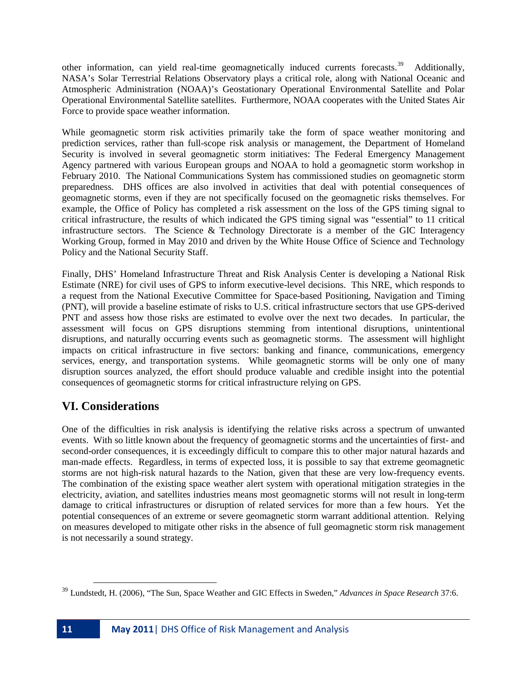other information, can yield real-time geomagnetically induced currents forecasts.<sup>39</sup> Additionally, NASA's Solar Terrestrial Relations Observatory plays a critical role, along with National Oceanic and Atmospheric Administration (NOAA)'s Geostationary Operational Environmental Satellite and Polar Operational Environmental Satellite satellites. Furthermore, NOAA cooperates with the United States Air Force to provide space weather information.

While geomagnetic storm risk activities primarily take the form of space weather monitoring and prediction services, rather than full-scope risk analysis or management, the Department of Homeland Security is involved in several geomagnetic storm initiatives: The Federal Emergency Management Agency partnered with various European groups and NOAA to hold a geomagnetic storm workshop in February 2010. The National Communications System has commissioned studies on geomagnetic storm preparedness. DHS offices are also involved in activities that deal with potential consequences of geomagnetic storms, even if they are not specifically focused on the geomagnetic risks themselves. For example, the Office of Policy has completed a risk assessment on the loss of the GPS timing signal to critical infrastructure, the results of which indicated the GPS timing signal was "essential" to 11 critical infrastructure sectors. The Science & Technology Directorate is a member of the GIC Interagency Working Group, formed in May 2010 and driven by the White House Office of Science and Technology Policy and the National Security Staff.

Finally, DHS' Homeland Infrastructure Threat and Risk Analysis Center is developing a National Risk Estimate (NRE) for civil uses of GPS to inform executive-level decisions. This NRE, which responds to a request from the National Executive Committee for Space-based Positioning, Navigation and Timing (PNT), will provide a baseline estimate of risks to U.S. critical infrastructure sectors that use GPS-derived PNT and assess how those risks are estimated to evolve over the next two decades. In particular, the assessment will focus on GPS disruptions stemming from intentional disruptions, unintentional disruptions, and naturally occurring events such as geomagnetic storms. The assessment will highlight impacts on critical infrastructure in five sectors: banking and finance, communications, emergency services, energy, and transportation systems. While geomagnetic storms will be only one of many disruption sources analyzed, the effort should produce valuable and credible insight into the potential consequences of geomagnetic storms for critical infrastructure relying on GPS.

# **VI. Considerations**

One of the difficulties in risk analysis is identifying the relative risks across a spectrum of unwanted events. With so little known about the frequency of geomagnetic storms and the uncertainties of first- and second-order consequences, it is exceedingly difficult to compare this to other major natural hazards and man-made effects. Regardless, in terms of expected loss, it is possible to say that extreme geomagnetic storms are not high-risk natural hazards to the Nation, given that these are very low-frequency events. The combination of the existing space weather alert system with operational mitigation strategies in the electricity, aviation, and satellites industries means most geomagnetic storms will not result in long-term damage to critical infrastructures or disruption of related services for more than a few hours. Yet the potential consequences of an extreme or severe geomagnetic storm warrant additional attention. Relying on measures developed to mitigate other risks in the absence of full geomagnetic storm risk management is not necessarily a sound strategy.

 $\overline{\phantom{0}}$ 

<span id="page-10-0"></span><sup>39</sup> Lundstedt, H. (2006), "The Sun, Space Weather and GIC Effects in Sweden," *Advances in Space Research* 37:6.